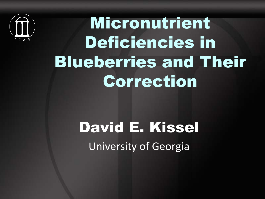

Micronutrient Deficiencies in Blueberries and Their Correction

#### David E. Kissel University of Georgia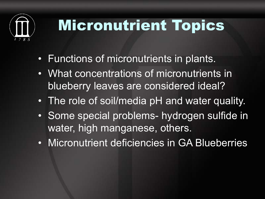

### Micronutrient Topics

- Functions of micronutrients in plants.
- What concentrations of micronutrients in blueberry leaves are considered ideal?
- The role of soil/media pH and water quality.
- Some special problems- hydrogen sulfide in water, high manganese, others.
- Micronutrient deficiencies in GA Blueberries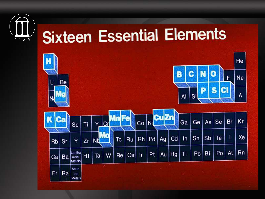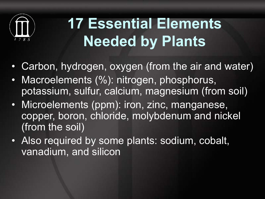

# **17 Essential Elements Needed by Plants**

- Carbon, hydrogen, oxygen (from the air and water)
- Macroelements (%): nitrogen, phosphorus, potassium, sulfur, calcium, magnesium (from soil)
- Microelements (ppm): iron, zinc, manganese, copper, boron, chloride, molybdenum and nickel (from the soil)
- Also required by some plants: sodium, cobalt, vanadium, and silicon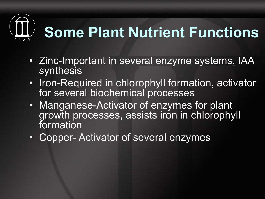# **Some Plant Nutrient Functions**

- Zinc-Important in several enzyme systems, IAA synthesis
- Iron-Required in chlorophyll formation, activator for several biochemical processes
- Manganese-Activator of enzymes for plant growth processes, assists iron in chlorophyll formation
- Copper- Activator of several enzymes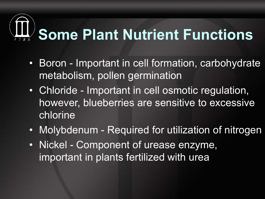# **Some Plant Nutrient Functions**

- Boron Important in cell formation, carbohydrate metabolism, pollen germination
- Chloride Important in cell osmotic regulation, however, blueberries are sensitive to excessive chlorine
- Molybdenum Required for utilization of nitrogen
- Nickel Component of urease enzyme, important in plants fertilized with urea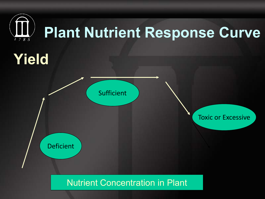

Nutrient Concentration in Plant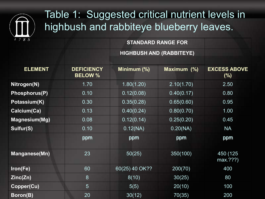

#### Table 1: Suggested critical nutrient levels in highbush and rabbiteye blueberry leaves.

| $4 \times 8 = 5$     |                                     | <b>STANDARD RANGE FOR</b>       |             |                               |
|----------------------|-------------------------------------|---------------------------------|-------------|-------------------------------|
|                      |                                     | <b>HIGHBUSH AND (RABBITEYE)</b> |             |                               |
|                      |                                     |                                 |             |                               |
| <b>ELEMENT</b>       | <b>DEFICIENCY</b><br><b>BELOW %</b> | Minimum (%)                     | Maximum (%) | <b>EXCESS ABOVE</b><br>$(\%)$ |
| Nitrogen(N)          | 1.70                                | 1.80(1.20)                      | 2.10(1.70)  | 2.50                          |
| <b>Phosphorus(P)</b> | 0.10                                | 0.12(0.08)                      | 0.40(0.17)  | 0.80                          |
| Potassium(K)         | 0.30                                | 0.35(0.28)                      | 0.65(0.60)  | 0.95                          |
| Calcium(Ca)          | 0.13                                | 0.40(0.24)                      | 0.80(0.70)  | 1.00                          |
| <b>Magnesium(Mg)</b> | 0.08                                | 0.12(0.14)                      | 0.25(0.20)  | 0.45                          |
| Sulfur(S)            | 0.10                                | 0.12(NA)                        | 0.20(NA)    | <b>NA</b>                     |
|                      | ppm                                 | ppm                             | ppm         | ppm                           |
| <b>Manganese(Mn)</b> | 23                                  | 50(25)                          | 350(100)    | 450 (125<br>max.???)          |
| Iron(Fe)             | 60                                  | 60(25) 40 OK??                  | 200(70)     | 400                           |
| Zinc(Zn)             | 8                                   | 8(10)                           | 30(25)      | 80                            |
| Copper(Cu)           | 5                                   | 5(5)                            | 20(10)      | 100                           |
| Boron(B)             | 20                                  | 30(12)                          | 70(35)      | 200                           |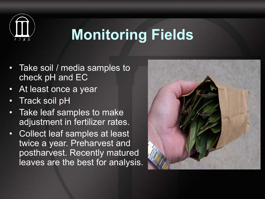

#### **Monitoring Fields**

- Take soil / media samples to check pH and EC
- At least once a year
- Track soil pH
- Take leaf samples to make adjustment in fertilizer rates.
- Collect leaf samples at least twice a year. Preharvest and postharvest. Recently matured leaves are the best for analysis.

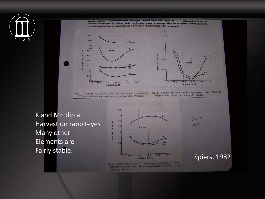

gression analyses for most elements were more linear from late June to early August. Therefore, optimum time for the collection of leaf samples of rabbiteye blueberries for mineral analyses appears to be a 4-week interval coinciding with the last 2 weeks of the harvest season through a 2-week period immediately following harvest.  $3.0$  $2.0$  $1.0$ WEIGHT 300  $0.6$ harvest WEIGHT  $0.5$ PERCENT DRY 200  $0.4$ DRY | harvest  $0.3$ **PPM** 100  $0.2$ Na  $\circ$ .  $oH$  $o<sub>u</sub>$ 100  $150$ 200 250  $300$ 150 200  $250$ 300 100 **JULIAN DATE JULIAN DATE** Fig. 2. Seasonal Mn and Na content regression curves in 'Tifblue' rab-Fig. 1. Seasonal N, P, K, Ca, and Mg content regression curves in biteye blueberry leaves, significant at 5% level. 'Tifblue' rabbiteye blueberry leaves, significant at the 5% level.

K and Mn dip at Harvest on rabbiteyes Many other Elements are Fairly stable.



Fig. 3. Seasonal B, Fe, and Zn content regression curves in 'Tilblue' rabbiteye blueberry leaves. B and Zn significant at 5% level. Fe significant at 10% level.

Spiers, 1982

 $300 =$ 

OCT.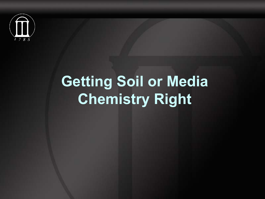

### **Getting Soil or Media Chemistry Right**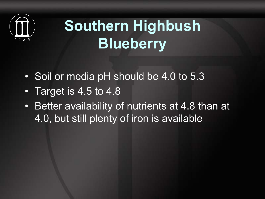

# **Southern Highbush Blueberry**

- Soil or media pH should be 4.0 to 5.3
- Target is 4.5 to 4.8
- Better availability of nutrients at 4.8 than at 4.0, but still plenty of iron is available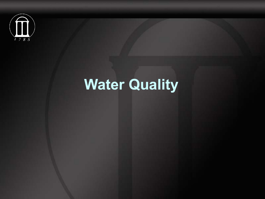

#### **Water Quality**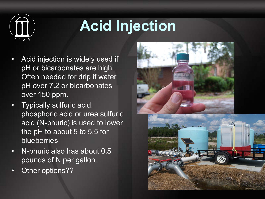

# **Acid Injection**

- Acid injection is widely used if pH or bicarbonates are high. Often needed for drip if water pH over 7.2 or bicarbonates over 150 ppm.
- Typically sulfuric acid, phosphoric acid or urea sulfuric acid (N-phuric) is used to lower the pH to about 5 to 5.5 for **blueberries**
- N-phuric also has about 0.5 pounds of N per gallon.
- Other options??



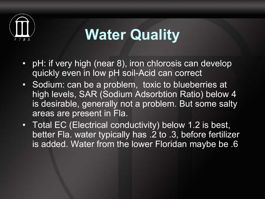

#### **Water Quality**

- pH: if very high (near 8), iron chlorosis can develop quickly even in low pH soil-Acid can correct
- Sodium: can be a problem, toxic to blueberries at high levels, SAR (Sodium Adsorbtion Ratio) below 4 is desirable, generally not a problem. But some salty areas are present in Fla.
- Total EC (Electrical conductivity) below 1.2 is best, better Fla. water typically has .2 to .3, before fertilizer is added. Water from the lower Floridan maybe be .6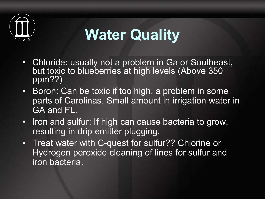

#### **Water Quality**

- Chloride: usually not a problem in Ga or Southeast, but toxic to blueberries at high levels (Above 350 ppm??)
- Boron: Can be toxic if too high, a problem in some parts of Carolinas. Small amount in irrigation water in GA and FL.
- Iron and sulfur: If high can cause bacteria to grow, resulting in drip emitter plugging.
- Treat water with C-quest for sulfur?? Chlorine or Hydrogen peroxide cleaning of lines for sulfur and iron bacteria.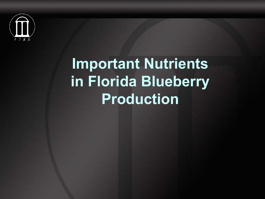

#### **Important Nutrients in Florida Blueberry Production**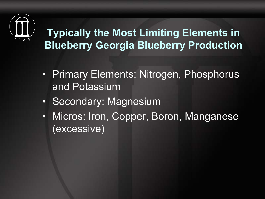

#### **Typically the Most Limiting Elements in Blueberry Georgia Blueberry Production**

- Primary Elements: Nitrogen, Phosphorus and Potassium
- Secondary: Magnesium
- Micros: Iron, Copper, Boron, Manganese (excessive)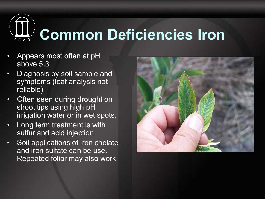

- Appears most often at pH above 5.3
- Diagnosis by soil sample and symptoms (leaf analysis not reliable)
- **Often seen during drought on** shoot tips using high pH irrigation water or in wet spots.
- Long term treatment is with sulfur and acid injection.
- Soil applications of iron chelate and iron sulfate can be use. Repeated foliar may also work.

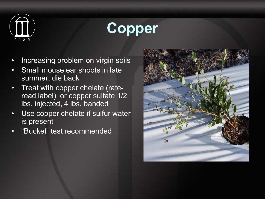

#### **Copper**

- Increasing problem on virgin soils
- Small mouse ear shoots in late summer, die back
- Treat with copper chelate (rateread label) or copper sulfate 1/2 lbs. injected, 4 lbs. banded
- Use copper chelate if sulfur water is present
- "Bucket" test recommended

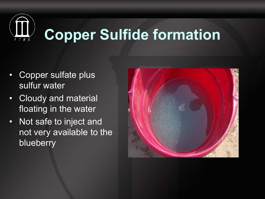

- Copper sulfate plus sulfur water
- Cloudy and material floating in the water
- Not safe to inject and not very available to the **blueberry**

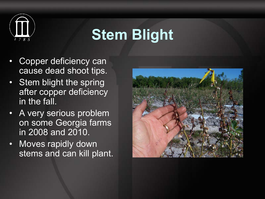

#### **Stem Blight**

- Copper deficiency can cause dead shoot tips.
- Stem blight the spring after copper deficiency in the fall.
- A very serious problem on some Georgia farms in 2008 and 2010.
- Moves rapidly down stems and can kill plant.

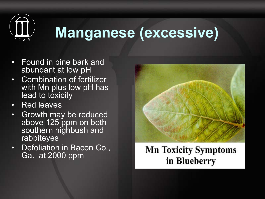

#### **Manganese (excessive)**

- Found in pine bark and abundant at low pH
- Combination of fertilizer with Mn plus low pH has lead to toxicity
- Red leaves
- Growth may be reduced above 125 ppm on both southern highbush and rabbiteyes
- Defoliation in Bacon Co., Ga. at 2000 ppm



#### **Mn Toxicity Symptoms** in Blueberry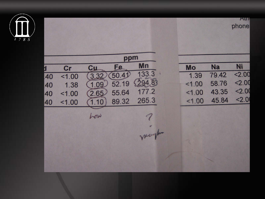

AUT phone

ppm Mn Ni Fe. **Na**  $cr$  $c_{\mu}$ Mo Л 133.3  $2.00$  $3.32$  $50.41$ 79.42 1.39  $1.00$ 40  $(294.8)$  $2.00$ 52.19 58.76  $1.09$  $1.00$ 1.38 40  $< 2.00$ 177.2 43.35 55.64  $1.00$  $2.65$ 40  $1.00$  $22.0$ 265.3 45.84  $1.00$ 89.32  $(1.10)$ 40  $1.00$ how martin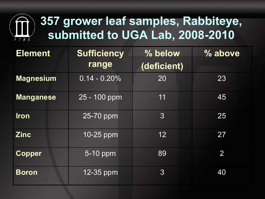#### **357 grower leaf samples, Rabbiteye, submitted to UGA Lab, 2008-2010**

| <b>Element</b>   | Sufficiency<br>range | % below<br>(deficient) | % above      |
|------------------|----------------------|------------------------|--------------|
| <b>Magnesium</b> | $0.14 - 0.20%$       | 20                     | 23           |
| <b>Manganese</b> | 25 - 100 ppm         | 11                     | 45           |
| <b>Iron</b>      | 25-70 ppm            | 3 <sup>2</sup>         | 25           |
| <b>Zinc</b>      | $10 - 25$ ppm        | 12 <sub>2</sub>        | 27           |
| <b>Copper</b>    | 5-10 ppm             | 89                     | $\mathbf{2}$ |
| <b>Boron</b>     | $12 - 35$ ppm        | $\mathfrak{B}$         | 40           |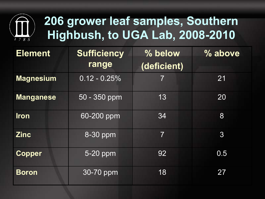

| <b>Element</b>   | <b>Sufficiency</b><br>range | % below<br>(deficient) | % above         |
|------------------|-----------------------------|------------------------|-----------------|
| <b>Magnesium</b> | $0.12 - 0.25%$              | $\overline{7}$         | 21              |
| <b>Manganese</b> | 50 - 350 ppm                | 13                     | 20              |
| <b>Iron</b>      | 60-200 ppm                  | 34                     | 8               |
| <b>Zinc</b>      | 8-30 ppm                    | $\overline{7}$         | $3\overline{3}$ |
| <b>Copper</b>    | $5-20$ ppm                  | 92                     | 0.5             |
| <b>Boron</b>     | 30-70 ppm                   | 18                     | 27              |